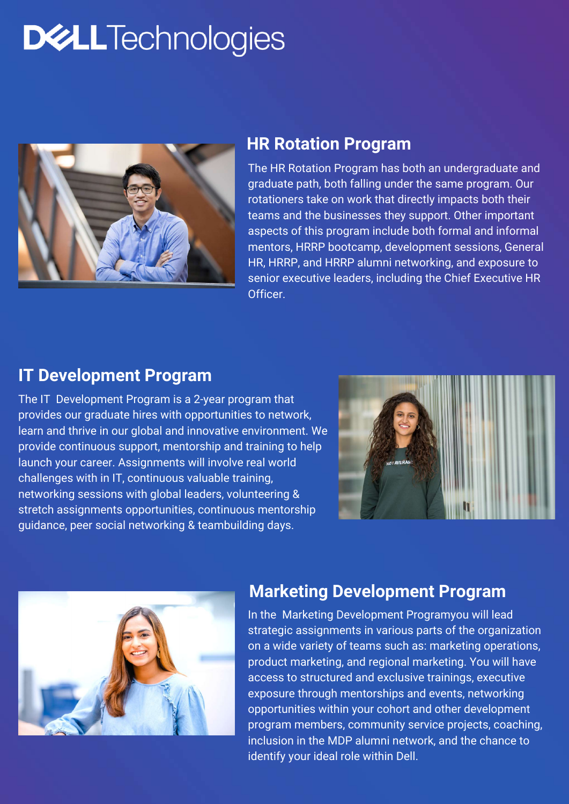The HR Rotation Program has both an undergraduate and graduate path, both falling under the same program. Our rotationers take on work that directly impacts both their teams and the businesses they support. Other important aspects of this program include both formal and informal mentors, HRRP bootcamp, development sessions, General HR, HRRP, and HRRP alumni networking, and exposure to senior executive leaders, including the Chief Executive HR Officer.

# **DWLLTechnologies**



#### **HR Rotation Program**

The IT Development Program is a 2-year program that provides our graduate hires with opportunities to network, learn and thrive in our global and innovative environment. We provide continuous support, mentorship and training to help launch your career. Assignments will involve real world challenges with in IT, continuous valuable training, networking sessions with global leaders, volunteering & stretch assignments opportunities, continuous mentorship guidance, peer social networking & teambuilding days.





### **IT Development Program**

In the Marketing Development Programyou will lead strategic assignments in various parts of the organization on a wide variety of teams such as: marketing operations, product marketing, and regional marketing. You will have access to structured and exclusive trainings, executive exposure through mentorships and events, networking opportunities within your cohort and other development program members, community service projects, coaching, inclusion in the MDP alumni network, and the chance to identify your ideal role within Dell.

### **Marketing Development Program**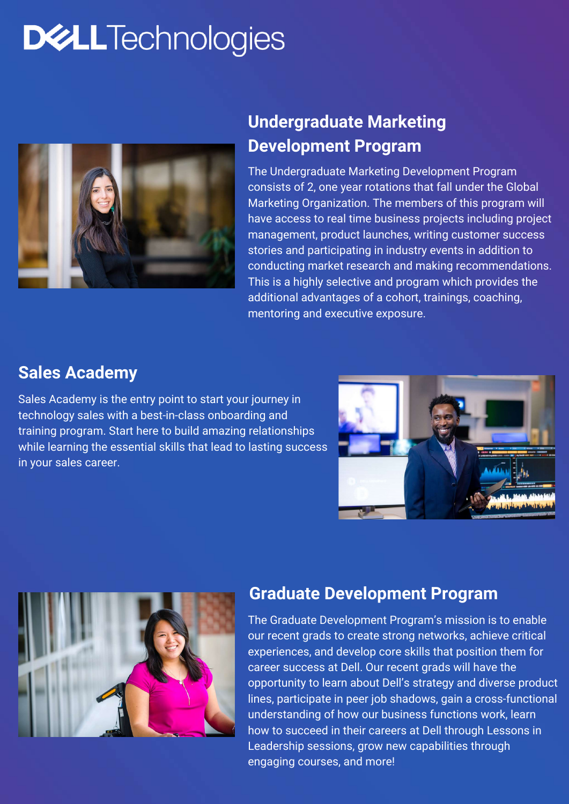The Undergraduate Marketing Development Program consists of 2, one year rotations that fall under the Global Marketing Organization. The members of this program will have access to real time business projects including project management, product launches, writing customer success stories and participating in industry events in addition to conducting market research and making recommendations. This is a highly selective and program which provides the additional advantages of a cohort, trainings, coaching, mentoring and executive exposure.

# **DWLLTechnologies**



# **Undergraduate Marketing Development Program**

Sales Academy is the entry point to start your journey in technology sales with a best-in-class onboarding and training program. Start here to build amazing relationships while learning the essential skills that lead to lasting success in your sales career.





#### **Sales Academy**

The Graduate Development Program's mission is to enable our recent grads to create strong networks, achieve critical experiences, and develop core skills that position them for career success at Dell. Our recent grads will have the opportunity to learn about Dell's strategy and diverse product lines, participate in peer job shadows, gain a cross-functional understanding of how our business functions work, learn how to succeed in their careers at Dell through Lessons in Leadership sessions, grow new capabilities through engaging courses, and more!

#### **Graduate Development Program**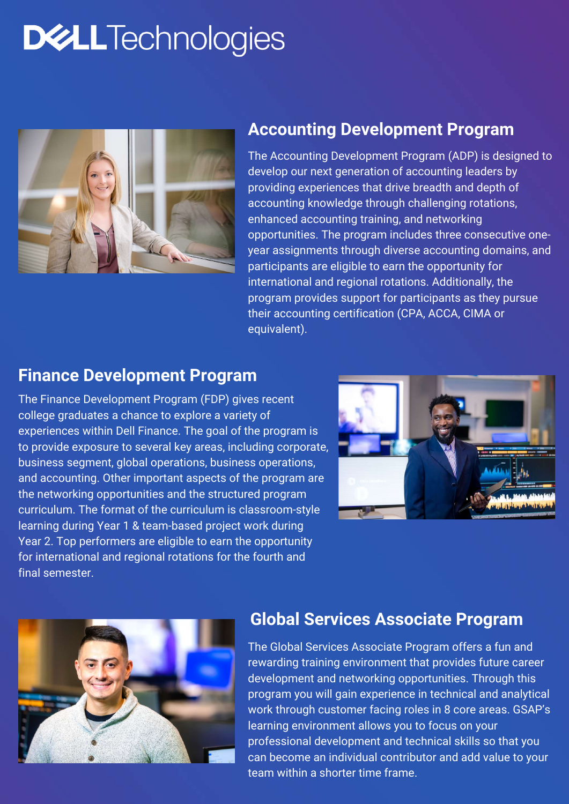The Accounting Development Program (ADP) is designed to develop our next generation of accounting leaders by providing experiences that drive breadth and depth of accounting knowledge through challenging rotations, enhanced accounting training, and networking opportunities. The program includes three consecutive oneyear assignments through diverse accounting domains, and participants are eligible to earn the opportunity for international and regional rotations. Additionally, the program provides support for participants as they pursue their accounting certification (CPA, ACCA, CIMA or equivalent).

# **DWLLTechnologies**



## **Accounting Development Program**

The Finance Development Program (FDP) gives recent college graduates a chance to explore a variety of experiences within Dell Finance. The goal of the program is to provide exposure to several key areas, including corporate, business segment, global operations, business operations, and accounting. Other important aspects of the program are the networking opportunities and the structured program curriculum. The format of the curriculum is classroom-style learning during Year 1 & team-based project work during Year 2. Top performers are eligible to earn the opportunity for international and regional rotations for the fourth and final semester.





### **Finance Development Program**

The Global Services Associate Program offers a fun and rewarding training environment that provides future career development and networking opportunities. Through this program you will gain experience in technical and analytical work through customer facing roles in 8 core areas. GSAP's learning environment allows you to focus on your professional development and technical skills so that you can become an individual contributor and add value to your team within a shorter time frame.

#### **Global Services Associate Program**